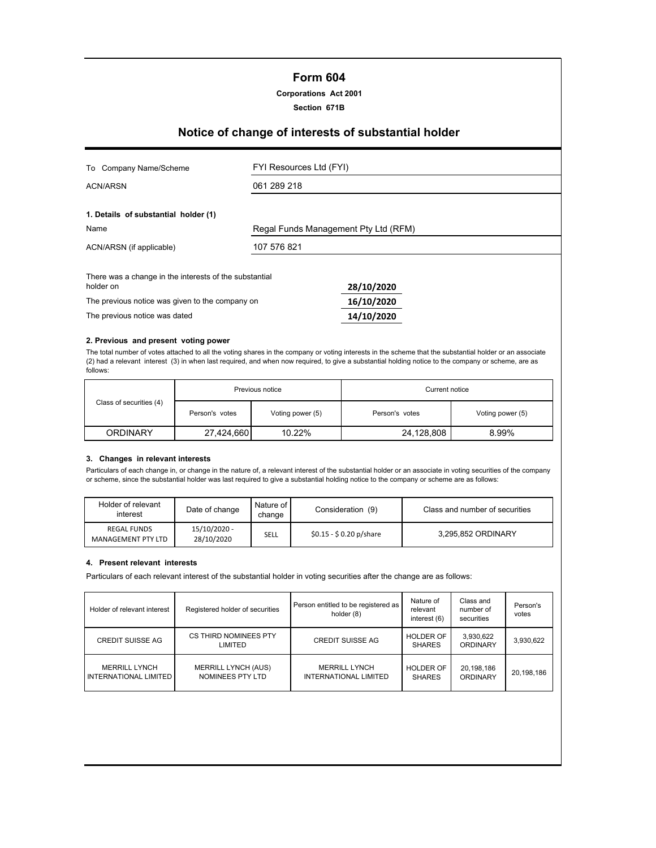# **Form 604**

### **Corporations Act 2001**

**Section 671B**

# **Notice of change of interests of substantial holder**

| Company Name/Scheme<br>To                                           | FYI Resources Ltd (FYI)              |            |  |
|---------------------------------------------------------------------|--------------------------------------|------------|--|
| ACN/ARSN                                                            | 061 289 218                          |            |  |
| 1. Details of substantial holder (1)                                |                                      |            |  |
| Name                                                                | Regal Funds Management Pty Ltd (RFM) |            |  |
| ACN/ARSN (if applicable)                                            | 107 576 821                          |            |  |
| There was a change in the interests of the substantial<br>holder on |                                      | 28/10/2020 |  |
| The previous notice was given to the company on                     |                                      | 16/10/2020 |  |
| The previous notice was dated                                       |                                      | 14/10/2020 |  |

#### **2. Previous and present voting power**

The total number of votes attached to all the voting shares in the company or voting interests in the scheme that the substantial holder or an associate (2) had a relevant interest (3) in when last required, and when now required, to give a substantial holding notice to the company or scheme, are as follows:

|                         | Previous notice |                  | Current notice |                  |  |
|-------------------------|-----------------|------------------|----------------|------------------|--|
| Class of securities (4) | Person's votes  | Voting power (5) | Person's votes | Voting power (5) |  |
| <b>ORDINARY</b>         | 27,424,660      | 10.22%           | 24,128,808     | 8.99%            |  |

## **3. Changes in relevant interests**

Particulars of each change in, or change in the nature of, a relevant interest of the substantial holder or an associate in voting securities of the company or scheme, since the substantial holder was last required to give a substantial holding notice to the company or scheme are as follows:

| Holder of relevant<br>interest           | Date of change             | Nature of I<br>change | Consideration (9)        | Class and number of securities |
|------------------------------------------|----------------------------|-----------------------|--------------------------|--------------------------------|
| <b>REGAL FUNDS</b><br>MANAGEMENT PTY LTD | 15/10/2020 -<br>28/10/2020 | SELL                  | $$0.15 - $0.20 p/s$ hare | 3,295,852 ORDINARY             |

#### **4. Present relevant interests**

Particulars of each relevant interest of the substantial holder in voting securities after the change are as follows:

| Holder of relevant interest                   | Registered holder of securities                | Person entitled to be registered as<br>holder (8) | Nature of<br>relevant<br>interest (6) | Class and<br>number of<br>securities | Person's<br>votes |
|-----------------------------------------------|------------------------------------------------|---------------------------------------------------|---------------------------------------|--------------------------------------|-------------------|
| <b>CREDIT SUISSE AG</b>                       | CS THIRD NOMINEES PTY<br>LIMITED               | <b>CREDIT SUISSE AG</b>                           | <b>HOLDER OF</b><br><b>SHARES</b>     | 3,930,622<br><b>ORDINARY</b>         | 3,930,622         |
| <b>MERRILL LYNCH</b><br>INTERNATIONAL LIMITED | <b>MERRILL LYNCH (AUS)</b><br>NOMINEES PTY LTD | <b>MERRILL LYNCH</b><br>INTERNATIONAL LIMITED     | <b>HOLDER OF</b><br><b>SHARES</b>     | 20,198,186<br>ORDINARY               | 20,198,186        |